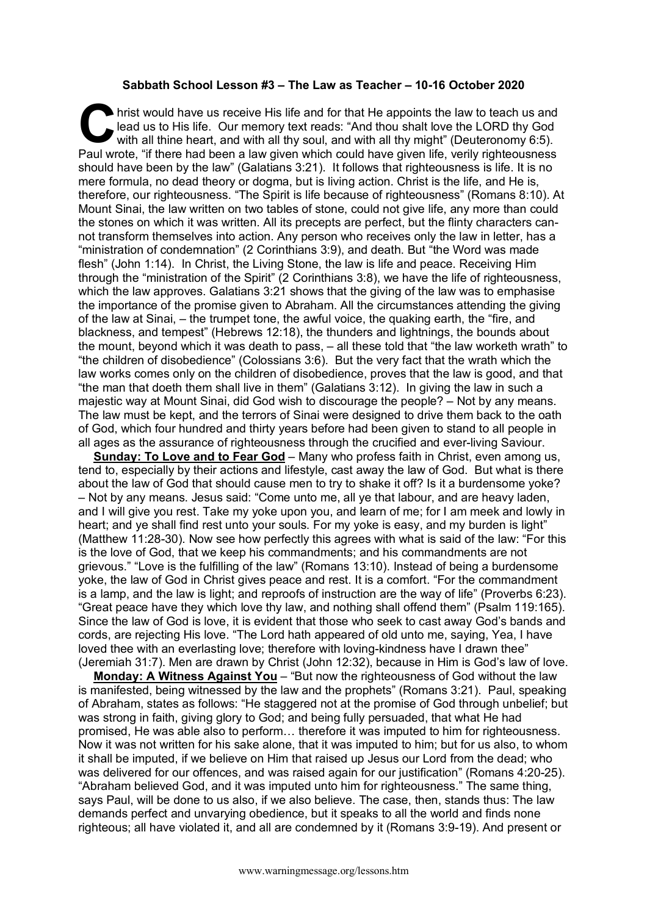## **Sabbath School Lesson #3 – The Law as Teacher – 10-16 October 2020**

hrist would have us receive His life and for that He appoints the law to teach us and lead us to His life. Our memory text reads: "And thou shalt love the LORD thy God with all thine heart, and with all thy soul, and with all thy might" (Deuteronomy 6:5). **Paul wrote, "if there had been a law given which could have given life, verily righteousness (** $\blacksquare$  **and with all thine heart, and with all thy soul, and with all thy might" (Deuteronomy 6:5).<br>Paul wrote, "if there had be** should have been by the law" (Galatians 3:21). It follows that righteousness is life. It is no mere formula, no dead theory or dogma, but is living action. Christ is the life, and He is, therefore, our righteousness. "The Spirit is life because of righteousness" (Romans 8:10). At Mount Sinai, the law written on two tables of stone, could not give life, any more than could the stones on which it was written. All its precepts are perfect, but the flinty characters cannot transform themselves into action. Any person who receives only the law in letter, has a "ministration of condemnation" (2 Corinthians 3:9), and death. But "the Word was made flesh" (John 1:14). In Christ, the Living Stone, the law is life and peace. Receiving Him through the "ministration of the Spirit" (2 Corinthians 3:8), we have the life of righteousness, which the law approves. Galatians 3:21 shows that the giving of the law was to emphasise the importance of the promise given to Abraham. All the circumstances attending the giving of the law at Sinai, – the trumpet tone, the awful voice, the quaking earth, the "fire, and blackness, and tempest" (Hebrews 12:18), the thunders and lightnings, the bounds about the mount, beyond which it was death to pass, – all these told that "the law worketh wrath" to "the children of disobedience" (Colossians 3:6). But the very fact that the wrath which the law works comes only on the children of disobedience, proves that the law is good, and that "the man that doeth them shall live in them" (Galatians 3:12). In giving the law in such a majestic way at Mount Sinai, did God wish to discourage the people? – Not by any means. The law must be kept, and the terrors of Sinai were designed to drive them back to the oath of God, which four hundred and thirty years before had been given to stand to all people in all ages as the assurance of righteousness through the crucified and ever-living Saviour.

**Sunday: To Love and to Fear God** – Many who profess faith in Christ, even among us, tend to, especially by their actions and lifestyle, cast away the law of God. But what is there about the law of God that should cause men to try to shake it off? Is it a burdensome yoke? – Not by any means. Jesus said: "Come unto me, all ye that labour, and are heavy laden, and I will give you rest. Take my yoke upon you, and learn of me; for I am meek and lowly in heart; and ye shall find rest unto your souls. For my yoke is easy, and my burden is light" (Matthew 11:28-30). Now see how perfectly this agrees with what is said of the law: "For this is the love of God, that we keep his commandments; and his commandments are not grievous." "Love is the fulfilling of the law" (Romans 13:10). Instead of being a burdensome yoke, the law of God in Christ gives peace and rest. It is a comfort. "For the commandment is a lamp, and the law is light; and reproofs of instruction are the way of life" (Proverbs 6:23). "Great peace have they which love thy law, and nothing shall offend them" (Psalm 119:165). Since the law of God is love, it is evident that those who seek to cast away God's bands and cords, are rejecting His love. "The Lord hath appeared of old unto me, saying, Yea, I have loved thee with an everlasting love; therefore with loving-kindness have I drawn thee" (Jeremiah 31:7). Men are drawn by Christ (John 12:32), because in Him is God's law of love.

**Monday: A Witness Against You** – "But now the righteousness of God without the law is manifested, being witnessed by the law and the prophets" (Romans 3:21). Paul, speaking of Abraham, states as follows: "He staggered not at the promise of God through unbelief; but was strong in faith, giving glory to God; and being fully persuaded, that what He had promised, He was able also to perform… therefore it was imputed to him for righteousness. Now it was not written for his sake alone, that it was imputed to him; but for us also, to whom it shall be imputed, if we believe on Him that raised up Jesus our Lord from the dead; who was delivered for our offences, and was raised again for our justification" (Romans 4:20-25). "Abraham believed God, and it was imputed unto him for righteousness." The same thing, says Paul, will be done to us also, if we also believe. The case, then, stands thus: The law demands perfect and unvarying obedience, but it speaks to all the world and finds none righteous; all have violated it, and all are condemned by it (Romans 3:9-19). And present or